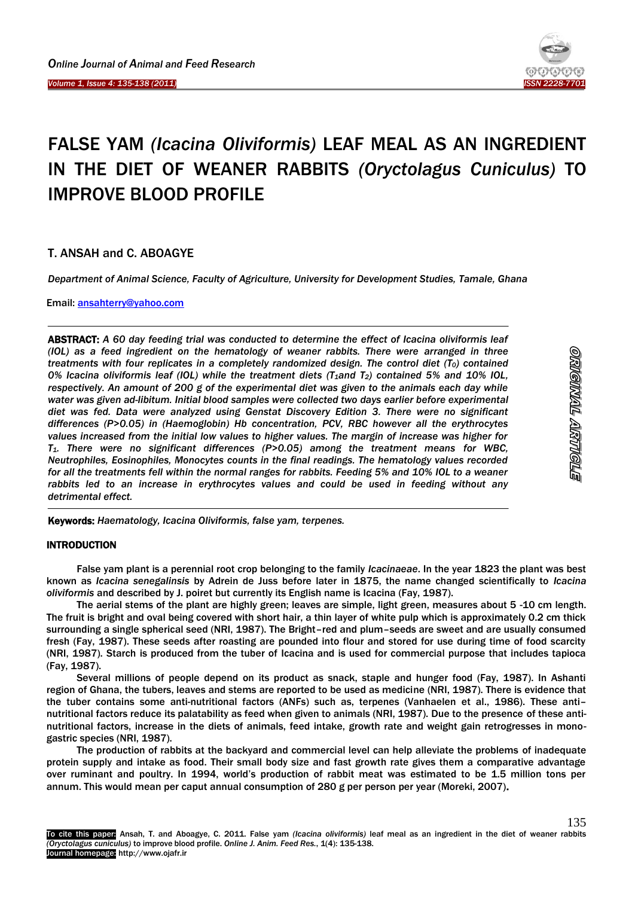*Volume 1, Issue 4: 135-138 (2011)* Ï



# FALSE YAM *(Icacina Oliviformis)* LEAF MEAL AS AN INGREDIENT IN THE DIET OF WEANER RABBITS *(Oryctolagus Cuniculus)* TO IMPROVE BLOOD PROFILE

T. ANSAH and C. ABOAGYE

*Department of Animal Science, Faculty of Agriculture, University for Development Studies, Tamale, Ghana*

Email: [ansahterry@yahoo.com](mailto:ansahterry@yahoo.com)

ABSTRACT: *A 60 day feeding trial was conducted to determine the effect of Icacina oliviformis leaf (IOL) as a feed ingredient on the hematology of weaner rabbits. There were arranged in three treatments with four replicates in a completely randomized design. The control diet (T0) contained 0% Icacina oliviformis leaf (IOL) while the treatment diets (T1and T2) contained 5% and 10% IOL, respectively. An amount of 200 g of the experimental diet was given to the animals each day while water was given ad-libitum. Initial blood samples were collected two days earlier before experimental diet was fed. Data were analyzed using Genstat Discovery Edition 3. There were no significant differences (P>0.05) in (Haemoglobin) Hb concentration, PCV, RBC however all the erythrocytes values increased from the initial low values to higher values. The margin of increase was higher for T1. There were no significant differences (P>0.05) among the treatment means for WBC, Neutrophiles, Eosinophiles, Monocytes counts in the final readings. The hematology values recorded for all the treatments fell within the normal ranges for rabbits. Feeding 5% and 10% IOL to a weaner*  rabbits led to an increase in erythrocytes values and could be used in feeding without any *detrimental effect.*

Keywords: *Haematology, Icacina Oliviformis, false yam, terpenes.*

# INTRODUCTION

False yam plant is a perennial root crop belonging to the family *Icacinaeae*. In the year 1823 the plant was best known as *Icacina senegalinsis* by Adrein de Juss before later in 1875, the name changed scientifically to *Icacina oliviformis* and described by J. poiret but currently its English name is Icacina (Fay, 1987).

The aerial stems of the plant are highly green; leaves are simple, light green, measures about 5 -10 cm length. The fruit is bright and oval being covered with short hair, a thin layer of white pulp which is approximately 0.2 cm thick surrounding a single spherical seed (NRI, 1987). The Bright–red and plum–seeds are sweet and are usually consumed fresh (Fay, 1987). These seeds after roasting are pounded into flour and stored for use during time of food scarcity (NRI, 1987). Starch is produced from the tuber of Icacina and is used for commercial purpose that includes tapioca (Fay, 1987).

Several millions of people depend on its product as snack, staple and hunger food (Fay, 1987). In Ashanti region of Ghana, the tubers, leaves and stems are reported to be used as medicine (NRI, 1987). There is evidence that the tuber contains some anti-nutritional factors (ANFs) such as, terpenes (Vanhaelen et al., 1986). These anti– nutritional factors reduce its palatability as feed when given to animals (NRI, 1987). Due to the presence of these antinutritional factors, increase in the diets of animals, feed intake, growth rate and weight gain retrogresses in monogastric species (NRI, 1987).

The production of rabbits at the backyard and commercial level can help alleviate the problems of inadequate protein supply and intake as food. Their small body size and fast growth rate gives them a comparative advantage over ruminant and poultry. In 1994, world's production of rabbit meat was estimated to be 1.5 million tons per annum. This would mean per caput annual consumption of 280 g per person per year (Moreki, 2007).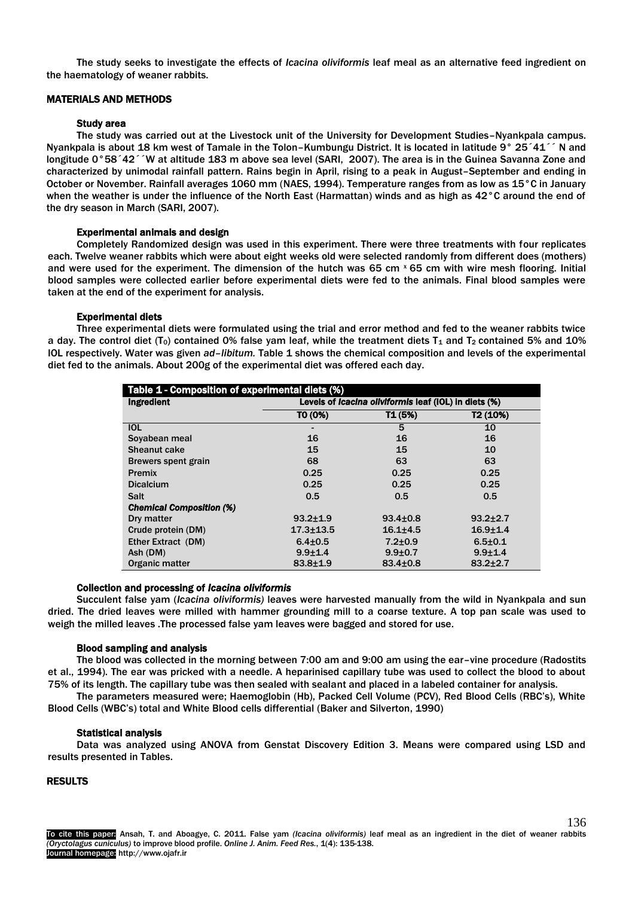The study seeks to investigate the effects of *Icacina oliviformis* leaf meal as an alternative feed ingredient on the haematology of weaner rabbits.

## MATERIALS AND METHODS

#### Study area

The study was carried out at the Livestock unit of the University for Development Studies–Nyankpala campus. Nyankpala is about 18 km west of Tamale in the Tolon–Kumbungu District. It is located in latitude 9° 25´41´´ N and longitude 0°58´42´´W at altitude 183 m above sea level (SARI, 2007). The area is in the Guinea Savanna Zone and characterized by unimodal rainfall pattern. Rains begin in April, rising to a peak in August–September and ending in October or November. Rainfall averages 1060 mm (NAES, 1994). Temperature ranges from as low as 15°C in January when the weather is under the influence of the North East (Harmattan) winds and as high as 42°C around the end of the dry season in March (SARI, 2007).

## Experimental animals and design

Completely Randomized design was used in this experiment. There were three treatments with four replicates each. Twelve weaner rabbits which were about eight weeks old were selected randomly from different does (mothers) and were used for the experiment. The dimension of the hutch was 65 cm  $x$  65 cm with wire mesh flooring. Initial blood samples were collected earlier before experimental diets were fed to the animals. Final blood samples were taken at the end of the experiment for analysis.

## Experimental diets

Three experimental diets were formulated using the trial and error method and fed to the weaner rabbits twice a day. The control diet (T<sub>0</sub>) contained 0% false yam leaf, while the treatment diets T<sub>1</sub> and T<sub>2</sub> contained 5% and 10% IOL respectively. Water was given *ad–libitum.* Table 1 shows the chemical composition and levels of the experimental diet fed to the animals. About 200g of the experimental diet was offered each day.

| Table 1 - Composition of experimental diets (%) |                                                       |                |                |  |  |
|-------------------------------------------------|-------------------------------------------------------|----------------|----------------|--|--|
| Ingredient                                      | Levels of Icacina oliviformis leaf (IOL) in diets (%) |                |                |  |  |
|                                                 | TO (0%)                                               | T1 (5%)        | T2 (10%)       |  |  |
| <b>IOL</b>                                      |                                                       | 5              | 10             |  |  |
| Soyabean meal                                   | 16                                                    | 16             | 16             |  |  |
| <b>Sheanut cake</b>                             | 15                                                    | 15             | 10             |  |  |
| Brewers spent grain                             | 68                                                    | 63             | 63             |  |  |
| <b>Premix</b>                                   | 0.25                                                  | 0.25           | 0.25           |  |  |
| <b>Dicalcium</b>                                | 0.25                                                  | 0.25           | 0.25           |  |  |
| <b>Salt</b>                                     | 0.5                                                   | 0.5            | 0.5            |  |  |
| <b>Chemical Composition (%)</b>                 |                                                       |                |                |  |  |
| Dry matter                                      | $93.2 + 1.9$                                          | $93.4 \pm 0.8$ | $93.2 \pm 2.7$ |  |  |
| Crude protein (DM)                              | $17.3 \pm 13.5$                                       | $16.1 \pm 4.5$ | $16.9 + 1.4$   |  |  |
| Ether Extract (DM)                              | $6.4{\pm}0.5$                                         | $7.2 \pm 0.9$  | $6.5 \pm 0.1$  |  |  |
| Ash (DM)                                        | $9.9 + 1.4$                                           | $9.9 + 0.7$    | $9.9 + 1.4$    |  |  |
| Organic matter                                  | $83.8 \pm 1.9$                                        | $83.4 \pm 0.8$ | $83.2 \pm 2.7$ |  |  |

### Collection and processing of *Icacina oliviformis*

Succulent false yam (*Icacina oliviformis)* leaves were harvested manually from the wild in Nyankpala and sun dried. The dried leaves were milled with hammer grounding mill to a coarse texture. A top pan scale was used to weigh the milled leaves .The processed false yam leaves were bagged and stored for use.

#### Blood sampling and analysis

The blood was collected in the morning between 7:00 am and 9:00 am using the ear–vine procedure (Radostits et al., 1994). The ear was pricked with a needle. A heparinised capillary tube was used to collect the blood to about 75% of its length. The capillary tube was then sealed with sealant and placed in a labeled container for analysis.

The parameters measured were; Haemoglobin (Hb), Packed Cell Volume (PCV), Red Blood Cells (RBC's), White Blood Cells (WBC's) total and White Blood cells differential (Baker and Silverton, 1990)

#### Statistical analysis

Data was analyzed using ANOVA from Genstat Discovery Edition 3. Means were compared using LSD and results presented in Tables.

## RESULTS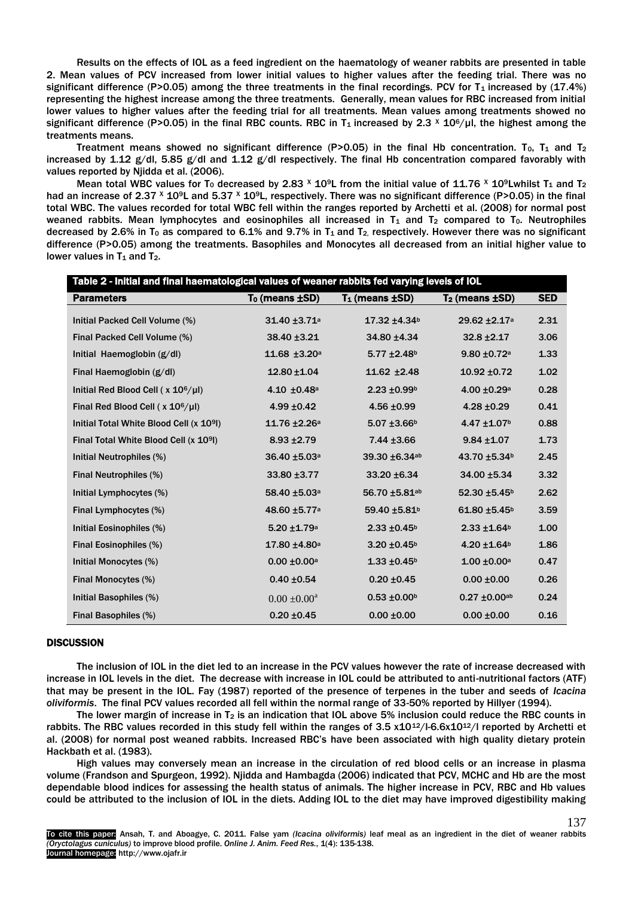Results on the effects of IOL as a feed ingredient on the haematology of weaner rabbits are presented in table 2. Mean values of PCV increased from lower initial values to higher values after the feeding trial. There was no significant difference (P>0.05) among the three treatments in the final recordings. PCV for  $T_1$  increased by (17.4%) representing the highest increase among the three treatments. Generally, mean values for RBC increased from initial lower values to higher values after the feeding trial for all treatments. Mean values among treatments showed no significant difference (P>0.05) in the final RBC counts. RBC in T<sub>1</sub> increased by 2.3 × 10<sup>6</sup>/µl, the highest among the treatments means.

Treatment means showed no significant difference (P>0.05) in the final Hb concentration. T<sub>0</sub>, T<sub>1</sub> and T<sub>2</sub> increased by 1.12  $g/dl$ , 5.85  $g/dl$  and 1.12  $g/dl$  respectively. The final Hb concentration compared favorably with values reported by Njidda et al. (2006).

Mean total WBC values for T<sub>0</sub> decreased by 2.83  $\times$  10<sup>9</sup>L from the initial value of 11.76  $\times$  10<sup>9</sup>Lwhilst T<sub>1</sub> and T<sub>2</sub> had an increase of 2.37  $\times$  10<sup>9</sup>L and 5.37  $\times$  10<sup>9</sup>L, respectively. There was no significant difference (P>0.05) in the final total WBC. The values recorded for total WBC fell within the ranges reported by Archetti et al. (2008) for normal post weaned rabbits. Mean lymphocytes and eosinophiles all increased in  $T_1$  and  $T_2$  compared to  $T_0$ . Neutrophiles decreased by 2.6% in T<sub>0</sub> as compared to 6.1% and 9.7% in T<sub>1</sub> and T<sub>2</sub>, respectively. However there was no significant difference (P>0.05) among the treatments. Basophiles and Monocytes all decreased from an initial higher value to lower values in  $T_1$  and  $T_2$ .

| Table 2 - Initial and final haematological values of weaner rabbits fed varying levels of IOL |                              |                               |                              |            |  |
|-----------------------------------------------------------------------------------------------|------------------------------|-------------------------------|------------------------------|------------|--|
| <b>Parameters</b>                                                                             | To (means ±SD)               | $T_1$ (means $\pm SD$ )       | $T_2$ (means $\pm$ SD)       | <b>SED</b> |  |
| Initial Packed Cell Volume (%)                                                                | 31.40 ±3.71ª                 | $17.32 \pm 4.34$ <sup>b</sup> | 29.62 ±2.17 <sup>a</sup>     | 2.31       |  |
| Final Packed Cell Volume (%)                                                                  | $38.40 \pm 3.21$             | $34.80 + 4.34$                | $32.8 \pm 2.17$              | 3.06       |  |
| Initial Haemoglobin (g/dl)                                                                    | $11.68 \pm 3.20^a$           | $5.77 + 2.48$ <sup>b</sup>    | $9.80 \pm 0.72$ a            | 1.33       |  |
| Final Haemoglobin (g/dl)                                                                      | $12.80 \pm 1.04$             | $11.62 \pm 2.48$              | $10.92 \pm 0.72$             | 1.02       |  |
| Initial Red Blood Cell ( $x$ 10 <sup>6</sup> / $\mu$ I)                                       | $4.10 \pm 0.48$ <sup>a</sup> | $2.23 + 0.99$ <sup>b</sup>    | $4.00 + 0.29a$               | 0.28       |  |
| Final Red Blood Cell ( $x$ 10 <sup>6</sup> / $\mu$ l)                                         | $4.99 \pm 0.42$              | $4.56 + 0.99$                 | $4.28 \pm 0.29$              | 0.41       |  |
| Initial Total White Blood Cell (x 10 <sup>9</sup> l)                                          | $11.76 \pm 2.26$ a           | $5.07 + 3.66$ <sup>b</sup>    | $4.47 \pm 1.07$ <sup>b</sup> | 0.88       |  |
| Final Total White Blood Cell (x 109I)                                                         | $8.93 \pm 2.79$              | $7.44 \pm 3.66$               | $9.84 \pm 1.07$              | 1.73       |  |
| Initial Neutrophiles (%)                                                                      | 36.40 ±5.03 <sup>a</sup>     | 39.30 ±6.34ab                 | 43.70 ±5.34 <sup>b</sup>     | 2.45       |  |
| Final Neutrophiles (%)                                                                        | $33.80 + 3.77$               | 33.20 ±6.34                   | 34.00 ±5.34                  | 3.32       |  |
| Initial Lymphocytes (%)                                                                       | 58.40 ±5.03 <sup>a</sup>     | 56.70 ±5.81ab                 | $52.30 + 5.45$ <sup>b</sup>  | 2.62       |  |
| Final Lymphocytes (%)                                                                         | 48.60 ±5.77 <sup>a</sup>     | 59.40 ±5.81 <sup>b</sup>      | $61.80 + 5.45$               | 3.59       |  |
| Initial Eosinophiles (%)                                                                      | $5.20 \pm 1.79$ a            | $2.33 \pm 0.45$ <sup>b</sup>  | $2.33 + 1.64$                | 1.00       |  |
| Final Eosinophiles (%)                                                                        | 17.80 ±4.80 <sup>a</sup>     | $3.20 \pm 0.45$ <sup>b</sup>  | $4.20 \pm 1.64$              | 1.86       |  |
| Initial Monocytes (%)                                                                         | $0.00 \pm 0.00$ <sup>a</sup> | $1.33 + 0.45$ <sup>b</sup>    | $1.00 \pm 0.00$ a            | 0.47       |  |
| Final Monocytes (%)                                                                           | $0.40 \pm 0.54$              | $0.20 \pm 0.45$               | $0.00 \pm 0.00$              | 0.26       |  |
| Initial Basophiles (%)                                                                        | $0.00 \pm 0.00^a$            | $0.53 + 0.00$ <sup>b</sup>    | $0.27 \pm 0.00$ ab           | 0.24       |  |
| Final Basophiles (%)                                                                          | $0.20 \pm 0.45$              | $0.00 \pm 0.00$               | $0.00 \pm 0.00$              | 0.16       |  |

#### **DISCUSSION**

The inclusion of IOL in the diet led to an increase in the PCV values however the rate of increase decreased with increase in IOL levels in the diet. The decrease with increase in IOL could be attributed to anti-nutritional factors (ATF) that may be present in the IOL. Fay (1987) reported of the presence of terpenes in the tuber and seeds of *Icacina oliviformis*. The final PCV values recorded all fell within the normal range of 33-50% reported by Hillyer (1994).

The lower margin of increase in  $T_2$  is an indication that IOL above 5% inclusion could reduce the RBC counts in rabbits. The RBC values recorded in this study fell within the ranges of  $3.5 \times 10^{12}/16.6 \times 10^{12}/1$  reported by Archetti et al. (2008) for normal post weaned rabbits. Increased RBC's have been associated with high quality dietary protein Hackbath et al. (1983).

High values may conversely mean an increase in the circulation of red blood cells or an increase in plasma volume (Frandson and Spurgeon, 1992). Njidda and Hambagda (2006) indicated that PCV, MCHC and Hb are the most dependable blood indices for assessing the health status of animals. The higher increase in PCV, RBC and Hb values could be attributed to the inclusion of IOL in the diets. Adding IOL to the diet may have improved digestibility making